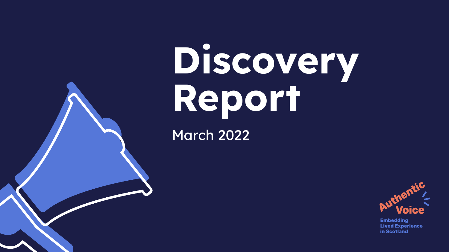# Discovery Report



**Embedding Lived Experience** in Scotland

March 2022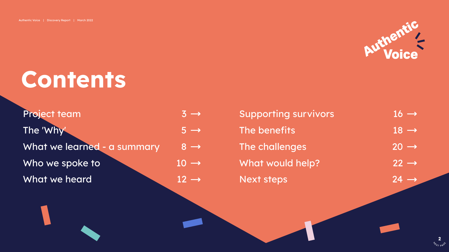### <span id="page-1-0"></span>Contents

| <b>Project team</b>         | $\overline{3} \rightarrow$ |
|-----------------------------|----------------------------|
| The 'Why'                   | $5 \rightarrow$            |
| What we learned - a summary | $8 \rightarrow$            |
| Who we spoke to             | $10 \rightarrow$           |
| What we heard               | $12 \rightarrow$           |



[2](#page-2-0) **NEXT PAGU** 

| Supporting survivors | $16 \rightarrow$            |
|----------------------|-----------------------------|
| The benefits         | $18 \rightarrow$            |
| The challenges       | $20 \rightarrow$            |
| What would help?     | $22 \rightarrow$            |
| <b>Next steps</b>    | $\overline{24} \rightarrow$ |

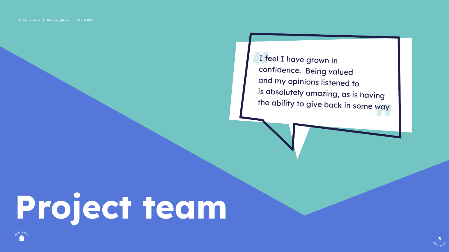## Project team

I feel I have grown in confidence. Being valued and my opinions listened to is absolutely amazing, as is having the ability to give back in some way



[3](#page-3-0) **NEXT PAGU** 

<span id="page-2-0"></span>Authentic Voice | Discovery Report | March 2022

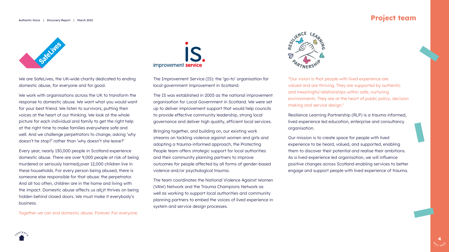#### <span id="page-3-0"></span>Authentic Voice | Discovery Report | March 2022





We are SafeLives, the UK-wide charity dedicated to ending domestic abuse, for everyone and for good.

We work with organisations across the UK to transform the response to domestic abuse. We want what you would want for your best friend. We listen to survivors, putting their voices at the heart of our thinking. We look at the whole picture for each individual and family to get the right help at the right time to make families everywhere safe and well. And we challenge perpetrators to change, asking 'why doesn't he stop?' rather than 'why doesn't she leave?'

Every year, nearly 130,000 people in Scotland experience domestic abuse. There are over 9,000 people at risk of being murdered or seriously harmed<sub>N</sub>over 12,000 children live in these households. For every person being abused, there is someone else responsible for that abuse: the perpetrator. And all too often, children are in the home and living with the impact. Domestic abuse affects us allnit thrives on being hidden behind closed doors. We must make it everybody's business.

Together we can end domestic abuse. Forever. For everyone.



The Improvement Service (IS): the 'go-to' organisation for local government improvement in Scotland.

The IS was established in 2005 as the national improvement organisation for Local Government in Scotland. We were set up to deliver improvement support that would help councils to provide effective community leadership, strong local governance and deliver high quality, efficient local services.

Bringing together, and building on, our existing work streams on tackling violence against women and girls and adopting a trauma-informed approach, the Protecting People team offers strategic support for local authorities and their community planning partners to improve outcomes for people affected by all forms of gender-based violence and/or psychological trauma.

The team coordinates the National Violence Against Women (VAW) Network and the Trauma Champions Network as well as working to support local authorities and community planning partners to embed the voices of lived experience in system and service design processes.

"Our vision is that people with lived experience are valued and are thriving. They are supported by authentic and meaningful relationships within safe, nurturing environments. They are at the heart of public policy, decision making and service design."

Resilience Learning Partnership (RLP) is a trauma informed, lived experience led education, enterprise and consultancy organisation.

Our mission is to create space for people with lived experience to be heard, valued, and supported, enabling them to discover their potential and realise their ambitions. As a lived experience led organisation, we will influence positive changes across Scotland enabling services to better engage and support people with lived experience of trauma.

### Project team



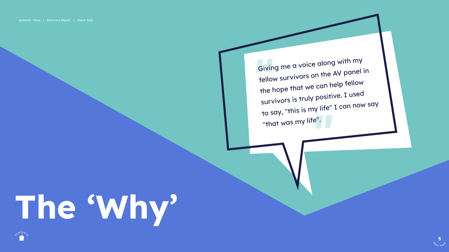Giving me a voice along with my fellow survivors on the AV panel in the hope that we can help fellow survivors is truly positive. I used survivo.<br>to say, "this is my life" I can now say "that was my life".



[5](#page-5-0) **NEXT PAGU** 

<span id="page-4-0"></span>

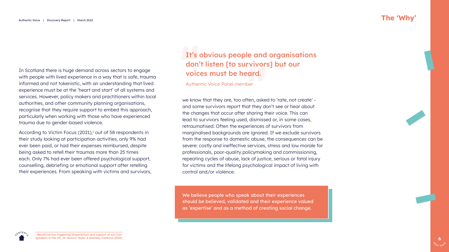

<span id="page-5-0"></span>In Scotland there is huge demand across sectors to engage with people with lived experience in a way that is safe, trauma informed and not tokenistic, with an understanding that lived experience must be at the 'heart and start' of all systems and services. However, policy makers and practitioners within local authorities, and other community planning organisations, recognise that they require support to embed this approach, particularly when working with those who have experienced trauma due to gender-based violence.

According to Victim Focus (2021),<sup>1</sup> out of 58 respondents in their study looking at participation activities, only 9% had ever been paid, or had their expenses reimbursed, despite being asked to retell their traumas more than 25 times each. Only 7% had ever been offered psychological support, counselling, debriefing or emotional support after retelling their experiences. From speaking with victims and survivors, we know that they are, too often, asked to 'rate, not create' and some survivors report that they don't see or hear about the changes that occur after sharing their voice. This can lead to survivors feeling used, dismissed or, in some cases, retraumatised. Often the experiences of survivors from marginalised backgrounds are ignored. If we exclude survivors from the response to domestic abuse, the consequences can be severe: costly and ineffective services, stress and low morale for professionals, poor-quality policymaking and commissioning, repeating cycles of abuse, lack of justice, serious or fatal injury for victims and the lifelong psychological impact of living with control and/or violence.

### It's obvious people and organisations don't listen [to survivors] but our voices must be heard.

Authentic Voice Panel member

### The 'Why'

We believe people who speak about their experiences should be believed, validated and their experience valued as 'expertise' and as a method of creating social change.

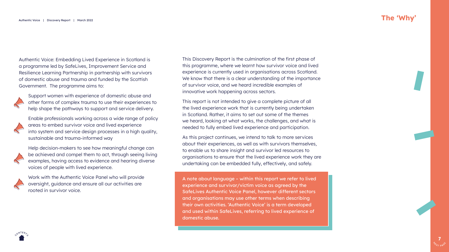

<span id="page-6-0"></span>Authentic Voice: Embedding Lived Experience in Scotland is a programme led by SafeLives, Improvement Service and Resilience Learning Partnership in partnership with survivors of domestic abuse and trauma and funded by the Scottish Government. The programme aims to:



Support women with experience of domestic abuse and other forms of complex trauma to use their experiences to help shape the pathways to support and service delivery.



Enable professionals working across a wide range of policy areas to embed survivor voice and lived experience into system and service design processes in a high quality, sustainable and trauma-informed way



Help decision-makers to see how meaningful change can be achieved and compel them to act, through seeing living examples, having access to evidence and hearing diverse voices of people with lived experience.



Work with the Authentic Voice Panel who will provide oversight, guidance and ensure all our activities are rooted in survivor voice.

### The 'Why'



This Discovery Report is the culmination of the first phase of this programme, where we learnt how survivor voice and lived experience is currently used in organisations across Scotland. We know that there is a clear understanding of the importance of survivor voice, and we heard incredible examples of innovative work happening across sectors.

This report is not intended to give a complete picture of all the lived experience work that is currently being undertaken in Scotland. Rather, it aims to set out some of the themes we heard, looking at what works, the challenges, and what is needed to fully embed lived experience and participation.

As this project continues, we intend to talk to more services about their experiences, as well as with survivors themselves, to enable us to share insight and survivor led resources to organisations to ensure that the lived experience work they are undertaking can be embedded fully, effectively, and safely.

A note about language – within this report we refer to lived experience and survivor/victim voice as agreed by the SafeLives Authentic Voice Panel, however different sectors and organisations may use other terms when describing their own activities. 'Authentic Voice' is a term developed and used within SafeLives, referring to lived experience of domestic abuse.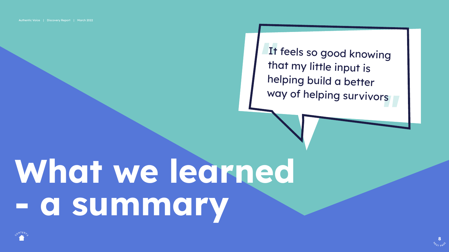It feels so good knowing that my little input is helping build a better way of helping survivors



## What we learned - a summary



<span id="page-7-0"></span>Authentic Voice | Discovery Report | March 2022

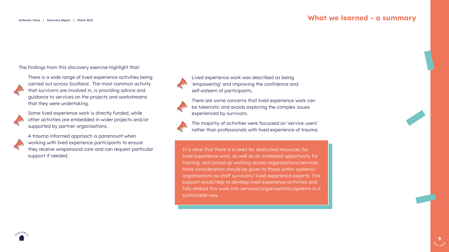

#### What we learned - a summary

<span id="page-8-0"></span>The findings from this discovery exercise highlight that:



There is a wide range of lived experience activities being carried out across Scotland. The most common activity that survivors are involved in, is providing advice and guidance to services on the projects and workstreams that they were undertaking.



Some lived experience work is directly funded, while other activities are embedded in wider projects and/or supported by partner organisations.





A trauma informed approach is paramount when working with lived experience participants to ensure they receive wraparound care and can request particular support if needed.







Lived experience work was described as being 'empowering' and improving the confidence and self-esteem of participants.

There are some concerns that lived experience work can be tokenistic and avoids exploring the complex issues experienced by survivors.



The majority of activities were focussed on 'service users' rather than professionals with lived experience of trauma

It is clear that there is a need for dedicated resources for lived experience work, as well as an increased opportunity for training, and joined up working across organisations/services. More consideration should be given to those within systems/ organisations as staff survivors/ lived experience experts. This support would help to develop lived experience activities and fully embed this work into services/organisations/systems in a sustainable way.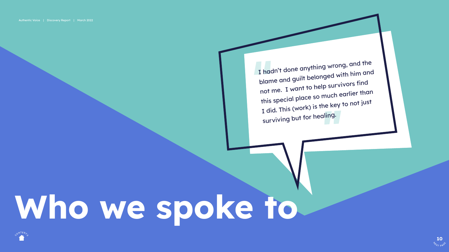[10](#page-10-0) **NEXT PAGU** 

### Who we spoke to

<span id="page-9-0"></span>Authentic Voice | Discovery Report | March 2022



I hadn't done anything wrong, and the blame and guilt belonged with him and not me. I want to help survivors find this special place so much earlier than I did. This (work) is the key to not just surviving but for healing.

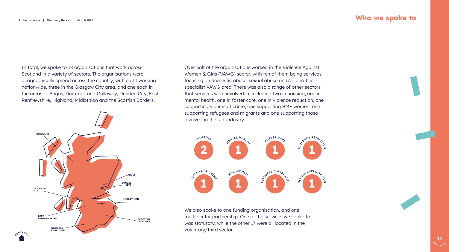

<span id="page-10-0"></span>In total, we spoke to 18 organisations that work across Scotland in a variety of sectors. The organisations were geographically spread across the country, with eight working nationwide, three in the Glasgow City area, and one each in the areas of Angus, Dumfries and Galloway, Dundee City, East Renfrewshire, Highland, Midlothian and the Scottish Borders.

Over half of the organisations worked in the Violence Against Women & Girls (VAWG) sector, with ten of them being services focusing on domestic abuse, sexual abuse and/or another specialist VAWG area. There was also a range of other sectors that services were involved in, including two in housing, one in mental health, one in foster care, one in violence reduction, one supporting victims of crime, one supporting BME women, one supporting refugees and migrants and one supporting those involved in the sex industry.



We also spoke to one funding organisation, and one multi-sector partnership. One of the services we spoke to was statutory, while the other 17 were all located in the voluntary/third sector.

#### Who we spoke to

GLASGOW **CITY** HIGHLAND DUMFRIES & GALLOWAY EAST RENFREWSHIRE DUNDEE **CITY** ANGUS MIDLOTHIAN SCOTTISH BORDERS



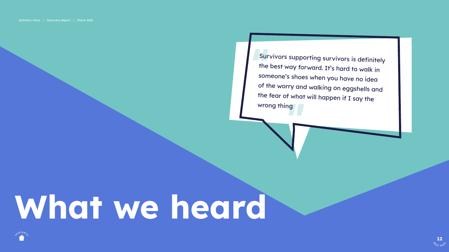Survivors supporting survivors is definitely the best way forward. It's hard to walk in someone's shoes when you have no idea of the worry and walking on eggshells and the fear of what will happen if I say the wrong thing



## <span id="page-11-0"></span>What we heard



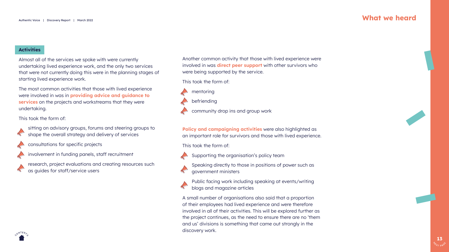#### <span id="page-12-0"></span>**Activities**



Almost all of the services we spoke with were currently undertaking lived experience work, and the only two services that were not currently doing this were in the planning stages of starting lived experience work.

The most common activities that those with lived experience were involved in was in **providing advice and guidance to** services on the projects and workstreams that they were undertaking.

This took the form of:



sitting on advisory groups, forums and steering groups to shape the overall strategy and delivery of services



Policy and campaigning activities were also highlighted as an important role for survivors and those with lived experience.

consultations for specific projects





research, project evaluations and creating resources such as guides for staff/service users

Another common activity that those with lived experience were involved in was **direct peer support** with other survivors who were being supported by the service.



This took the form of:



mentoring

befriending

community drop ins and group work

This took the form of:



R

Supporting the organisation's policy team

Speaking directly to those in positions of power such as government ministers

Public facing work including speaking at events/writing blogs and magazine articles

A small number of organisations also said that a proportion of their employees had lived experience and were therefore involved in all of their activities. This will be explored further as the project continues, as the need to ensure there are no 'them and us' divisions is something that came out strongly in the discovery work.

#### What we heard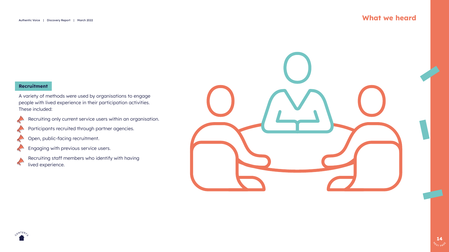

#### <span id="page-13-0"></span>Recruitment

A variety of methods were used by organisations to engage people with lived experience in their participation activities. These included:





Recruiting only current service users within an organisation.

Participants recruited through partner agencies.



Open, public-facing recruitment.



Engaging with previous service users.



Recruiting staff members who identify with having lived experience.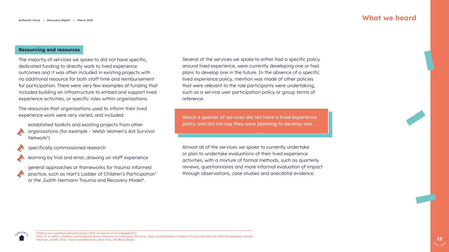

<sup>2</sup>https\]/www.welshwomensaid.org.uk/what-we-do/survivor-engagement/

<sup>3</sup> Hart, R. A. (1992). Children's participation\From tokenism to citizenship. Florence, Italy United Nations Children's Fund International Child Development Centre. <sup>4</sup> Herman, Judith. 2015. Trauma and Recovery. New York, NYNBasic Books

#### <span id="page-14-0"></span>Resourcing and resources

The majority of services we spoke to did not have specific, dedicated funding to directly work to lived experience outcomes and it was often included in existing projects with no additional resource for both staff time and reimbursement for participation. There were very few examples of funding that included building an infrastructure to embed and support lived experience activities, or specific roles within organisations.

established toolkits and existing projects from other organisations (for example – Welsh Women's Aid Survivor Network<sup>2</sup>)



general approaches or frameworks for trauma informed practice, such as Hart's Ladder of Children's Participation<sup>3</sup> or the Judith Hermann Trauma and Recovery Model<sup>4</sup>.

The resources that organisations used to inform their lived experience work were very varied, and included:



specifically commissioned research



learning by trial and error, drawing on staff experience





Several of the services we spoke to either had a specific policy around lived experience, were currently developing one or had plans to develop one in the future. In the absence of a specific lived experience policy, mention was made of other policies that were relevant to the role participants were undertaking, such as a service user participation policy or group terms of

reference.

Almost all of the services we spoke to currently undertake or plan to undertake evaluations of their lived experience activities, with a mixture of formal methods, such as quarterly reviews, questionnaires and more informal evaluation of impact through observations, case studies and anecdotal evidence.

#### What we heard

About a quarter of services did not have a lived experience policy and did not say they were planning to develop one.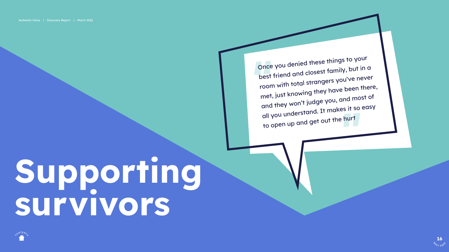[16](#page-16-0) **NEXT PAGU** 

<span id="page-15-0"></span>



Once you denied these things to your best friend and closest family, but in a room with total strangers you've never e been there, met, just knowing they hav and they won't judge you, and most of all you understand. It makes it so easy to open up and get out the hurt



## Supporting survivors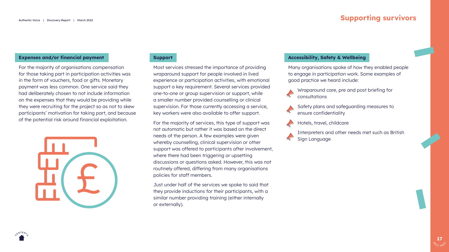

#### <span id="page-16-0"></span>Expenses and/or financial payment

For the majority of organisations compensation for those taking part in participation activities was in the form of vouchers, food or gifts. Monetary payment was less common. One service said they had deliberately chosen to not include information on the expenses that they would be providing while they were recruiting for the project so as not to skew participants' motivation for taking part, and because of the potential risk around financial exploitation.

Most services stressed the importance of providing wraparound support for people involved in lived experience or participation activities, with emotional support a key requirement. Several services provided one-to-one or group supervision or support, while a smaller number provided counselling or clinical supervision. For those currently accessing a service, key workers were also available to offer support.



For the majority of services, this type of support was not automatic but rather it was based on the direct needs of the person. A few examples were given whereby counselling, clinical supervision or other support was offered to participants after involvement, where there had been triggering or upsetting discussions or questions asked. However, this was not routinely offered, differing from many organisations policies for staff members.

Just under half of the services we spoke to said that they provide inductions for their participants, with a similar number providing training (either internally or externally).

#### Accessibility, Safety & Wellbeing

Many organisations spoke of how they enabled people to engage in participation work. Some examples of good practice we heard include:



Wraparound care, pre and post briefing for consultations



Safety plans and safeguarding measures to ensure confidentiality



Hotels, travel, childcare



Interpreters and other needs met such as British Sign Language

### Supporting survivors



#### **Support**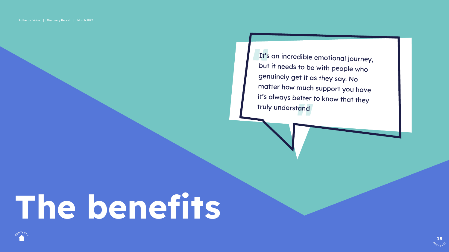It's an incredible emotional journey, but it needs to be with people who genuinely get it as they say. No matter how much support you have it's always better to know that they truly understand



[18](#page-18-0) **NEXT PAGU** 

## <span id="page-17-0"></span>The bedie be

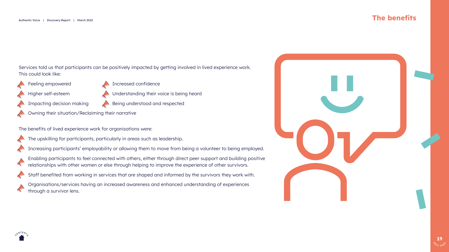

### The benefits

- 
- 
- 
- 



#### <span id="page-18-0"></span>Services told us that participants can be positively impacted by getting involved in lived experience work. This could look like:



Feeling empowered



Impacting decision making



Increased confidence



- Understanding their voice is being heard
- Being understood and respected
- Owning their situation/Reclaiming their narrative

The benefits of lived experience work for organisations were:



The upskilling for participants, particularly in areas such as leadership.



Increasing participants' employability or allowing them to move from being a volunteer to being employed.



Enabling participants to feel connected with others, either through direct peer support and building positive relationships with other women or else through helping to improve the experience of other survivors.



Staff benefited from working in services that are shaped and informed by the survivors they work with.



Organisations/services having an increased awareness and enhanced understanding of experiences through a survivor lens.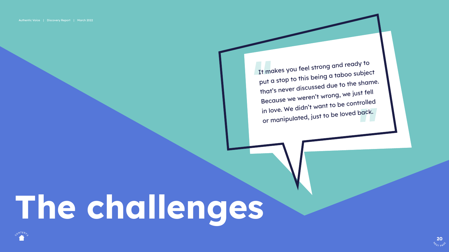[20](#page-20-0) **NEXT PAGU** 



It makes you feel strong and ready to put a stop to this being a taboo subject that's never discussed due to the shame. Because we weren't wrong, we just fell in love. We didn't want to be controlled or manipulated, just to be loved back.



## <span id="page-19-0"></span>The challenges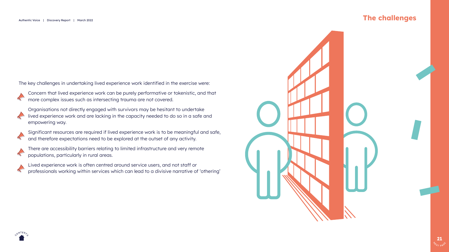

<span id="page-20-0"></span>The key challenges in undertaking lived experience work identified in the exercise were:



Concern that lived experience work can be purely performative or tokenistic, and that more complex issues such as intersecting trauma are not covered.



Organisations not directly engaged with survivors may be hesitant to undertake lived experience work and are lacking in the capacity needed to do so in a safe and empowering way.





Significant resources are required if lived experience work is to be meaningful and safe, and therefore expectations need to be explored at the outset of any activity.



There are accessibility barriers relating to limited infrastructure and very remote populations, particularly in rural areas.



Lived experience work is often centred around service users, and not staff or professionals working within services which can lead to a divisive narrative of 'othering'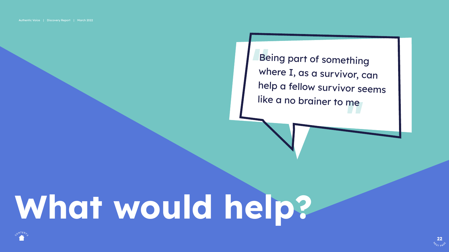Being part of something where I, as a survivor, can help a fellow survivor seems like a no brainer to me



[22](#page-22-0) **NEXT PAGU** 

## What would help?

<span id="page-21-0"></span>Authentic Voice | Discovery Report | March 2022

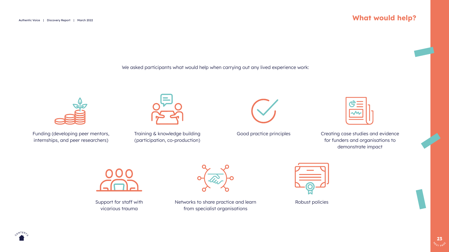#### <span id="page-22-0"></span>Authentic Voice | Discovery Report | March 2022



### What would help?



We asked participants what would help when carrying out any lived experience work:



Funding (developing peer mentors, internships, and peer researchers)



Support for staff with vicarious trauma



Training & knowledge building (participation, co-production)



Networks to share practice and learn from specialist organisations

Good practice principles





Robust policies

Creating case studies and evidence for funders and organisations to demonstrate impact

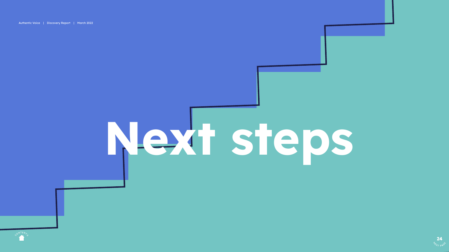<span id="page-23-0"></span>Authentic Voice | Discovery Report | March 2022







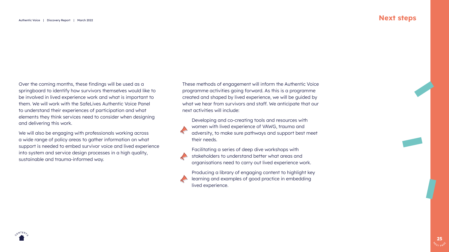

#### Next steps

<span id="page-24-0"></span>Over the coming months, these findings will be used as a springboard to identify how survivors themselves would like to be involved in lived experience work and what is important to them. We will work with the SafeLives Authentic Voice Panel to understand their experiences of participation and what elements they think services need to consider when designing and delivering this work.

We will also be engaging with professionals working across a wide range of policy areas to gather information on what support is needed to embed survivor voice and lived experience into system and service design processes in a high quality, sustainable and trauma-informed way.



These methods of engagement will inform the Authentic Voice programme activities going forward. As this is a programme created and shaped by lived experience, we will be guided by what we hear from survivors and staff. We anticipate that our next activities will include:

Developing and co-creating tools and resources with women with lived experience of VAWG, trauma and adversity, to make sure pathways and support best meet



Facilitating a series of deep dive workshops with stakeholders to understand better what areas and organisations need to carry out lived experience work.

Producing a library of engaging content to highlight key learning and examples of good practice in embedding lived experience.